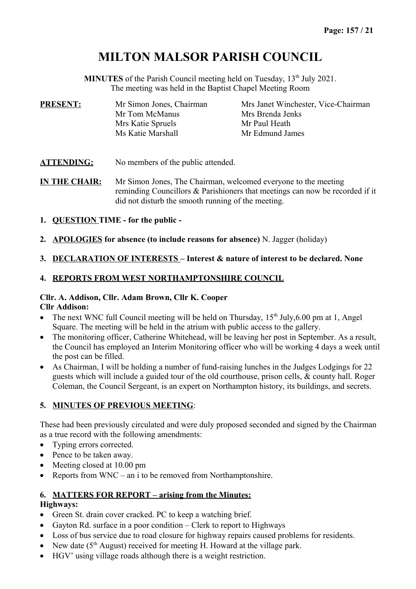# **MILTON MALSOR PARISH COUNCIL**

**MINUTES** of the Parish Council meeting held on Tuesday, 13<sup>th</sup> July 2021. The meeting was held in the Baptist Chapel Meeting Room

| <b>PRESENT:</b><br>Mr Simon Jones, Chairman |                   | Mrs Janet Winchester, Vice-Chairman |
|---------------------------------------------|-------------------|-------------------------------------|
|                                             | Mr Tom McManus    | Mrs Brenda Jenks                    |
|                                             | Mrs Katie Spruels | Mr Paul Heath                       |
|                                             | Ms Katie Marshall | Mr Edmund James                     |

ATTENDING: No members of the public attended.

**IN THE CHAIR:** Mr Simon Jones, The Chairman, welcomed everyone to the meeting reminding Councillors & Parishioners that meetings can now be recorded if it did not disturb the smooth running of the meeting.

- **1. QUESTION TIME for the public**
- **2. APOLOGIES for absence (to include reasons for absence)** N. Jagger (holiday)

#### **3. DECLARATION OF INTERESTS – Interest & nature of interest to be declared. None**

# **4. REPORTS FROM WEST NORTHAMPTONSHIRE COUNCIL**

# **Cllr. A. Addison, Cllr. Adam Brown, Cllr K. Cooper**

# **Cllr Addison:**

- The next WNC full Council meeting will be held on Thursday,  $15<sup>th</sup>$  July, 6.00 pm at 1, Angel Square. The meeting will be held in the atrium with public access to the gallery.
- The monitoring officer, Catherine Whitehead, will be leaving her post in September. As a result, the Council has employed an Interim Monitoring officer who will be working 4 days a week until the post can be filled.
- As Chairman, I will be holding a number of fund-raising lunches in the Judges Lodgings for 22 guests which will include a guided tour of the old courthouse, prison cells, & county hall. Roger Coleman, the Council Sergeant, is an expert on Northampton history, its buildings, and secrets.

# **5. MINUTES OF PREVIOUS MEETING**:

These had been previously circulated and were duly proposed seconded and signed by the Chairman as a true record with the following amendments:

- Typing errors corrected.
- Pence to be taken away.
- Meeting closed at 10.00 pm
- Reports from  $WNC an i$  to be removed from Northamptonshire.

#### **6. MATTERS FOR REPORT – arising from the Minutes:**

#### **Highways:**

- Green St. drain cover cracked. PC to keep a watching brief.
- Gayton Rd. surface in a poor condition Clerk to report to Highways
- Loss of bus service due to road closure for highway repairs caused problems for residents.
- New date ( $5<sup>th</sup>$  August) received for meeting H. Howard at the village park.
- HGV' using village roads although there is a weight restriction.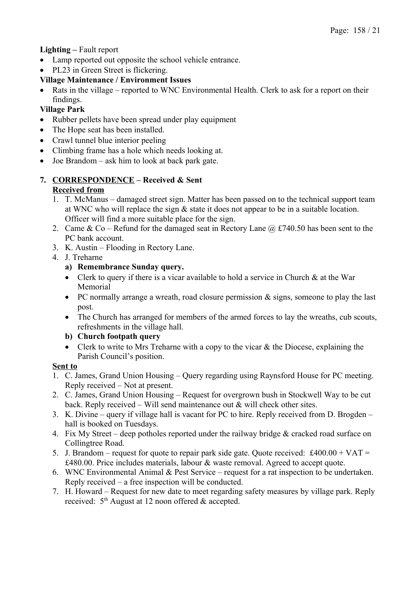# **Lighting –** Fault report

- Lamp reported out opposite the school vehicle entrance.
- PL23 in Green Street is flickering.

# **Village Maintenance / Environment Issues**

• Rats in the village – reported to WNC Environmental Health. Clerk to ask for a report on their findings.

# **Village Park**

- Rubber pellets have been spread under play equipment
- The Hope seat has been installed.
- Crawl tunnel blue interior peeling
- Climbing frame has a hole which needs looking at.
- Joe Brandom ask him to look at back park gate.

### **7. CORRESPONDENCE – Received & Sent Received from**

- 1. T. McManus damaged street sign. Matter has been passed on to the technical support team at WNC who will replace the sign & state it does not appear to be in a suitable location. Officer will find a more suitable place for the sign.
- 2. Came & Co Refund for the damaged seat in Rectory Lane  $\omega$  £740.50 has been sent to the PC bank account.
- 3. K. Austin Flooding in Rectory Lane.
- 4. J. Treharne
	- **a) Remembrance Sunday query.**
	- Clerk to query if there is a vicar available to hold a service in Church & at the War Memorial
	- PC normally arrange a wreath, road closure permission  $\&$  signs, someone to play the last post.
	- The Church has arranged for members of the armed forces to lay the wreaths, cub scouts, refreshments in the village hall.
	- **b) Church footpath query**
	- Clerk to write to Mrs Treharne with a copy to the vicar & the Diocese, explaining the Parish Council's position.

# **Sent to**

- 1. C. James, Grand Union Housing Query regarding using Raynsford House for PC meeting. Reply received – Not at present.
- 2. C. James, Grand Union Housing Request for overgrown bush in Stockwell Way to be cut back. Reply received – Will send maintenance out  $\&$  will check other sites.
- 3. K. Divine query if village hall is vacant for PC to hire. Reply received from D. Brogden hall is booked on Tuesdays.
- 4. Fix My Street deep potholes reported under the railway bridge & cracked road surface on Collingtree Road.
- 5. J. Brandom request for quote to repair park side gate. Quote received: £400.00 + VAT = £480.00. Price includes materials, labour & waste removal. Agreed to accept quote.
- 6. WNC Environmental Animal & Pest Service request for a rat inspection to be undertaken. Reply received – a free inspection will be conducted.
- 7. H. Howard Request for new date to meet regarding safety measures by village park. Reply received:  $5<sup>th</sup>$  August at 12 noon offered & accepted.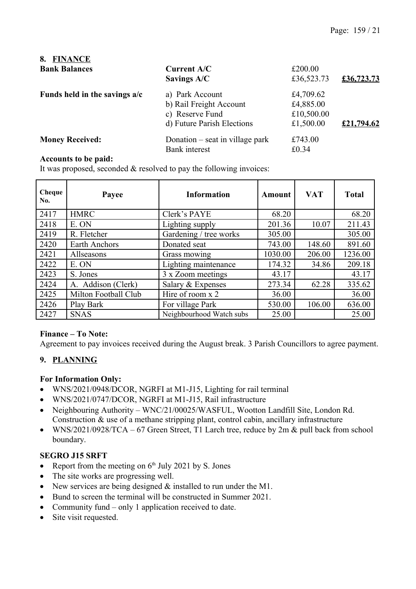| 8.<br><b>FINANCE</b>          |                                 |            |            |
|-------------------------------|---------------------------------|------------|------------|
| <b>Bank Balances</b>          | Current A/C                     | £200.00    |            |
|                               | Savings A/C                     | £36,523.73 | £36,723.73 |
| Funds held in the savings a/c | a) Park Account                 | £4,709.62  |            |
|                               | b) Rail Freight Account         | £4,885.00  |            |
|                               | c) Reserve Fund                 | £10,500.00 |            |
|                               | d) Future Parish Elections      | £1,500.00  | £21,794.62 |
| <b>Money Received:</b>        | Donation – seat in village park | £743.00    |            |
|                               | <b>Bank</b> interest            | £0.34      |            |

#### **Accounts to be paid:**

It was proposed, seconded & resolved to pay the following invoices:

| Cheque<br>No. | Payee                | <b>Information</b>       | <b>Amount</b> | <b>VAT</b> | <b>Total</b> |
|---------------|----------------------|--------------------------|---------------|------------|--------------|
| 2417          | <b>HMRC</b>          | Clerk's PAYE             | 68.20         |            | 68.20        |
| 2418          | E. ON                | Lighting supply          | 201.36        | 10.07      | 211.43       |
| 2419          | R. Fletcher          | Gardening / tree works   | 305.00        |            | 305.00       |
| 2420          | Earth Anchors        | Donated seat             | 743.00        | 148.60     | 891.60       |
| 2421          | Allseasons           | Grass mowing             | 1030.00       | 206.00     | 1236.00      |
| 2422          | E. ON                | Lighting maintenance     | 174.32        | 34.86      | 209.18       |
| 2423          | S. Jones             | 3 x Zoom meetings        | 43.17         |            | 43.17        |
| 2424          | A. Addison (Clerk)   | Salary & Expenses        | 273.34        | 62.28      | 335.62       |
| 2425          | Milton Football Club | Hire of room x 2         | 36.00         |            | 36.00        |
| 2426          | Play Bark            | For village Park         | 530.00        | 106.00     | 636.00       |
| 2427          | <b>SNAS</b>          | Neighbourhood Watch subs | 25.00         |            | 25.00        |

### **Finance – To Note:**

Agreement to pay invoices received during the August break. 3 Parish Councillors to agree payment.

#### **9. PLANNING**

#### **For Information Only:**

- WNS/2021/0948/DCOR, NGRFI at M1-J15, Lighting for rail terminal
- WNS/2021/0747/DCOR, NGRFI at M1-J15, Rail infrastructure
- Neighbouring Authority WNC/21/00025/WASFUL, Wootton Landfill Site, London Rd. Construction & use of a methane stripping plant, control cabin, ancillary infrastructure
- WNS/2021/0928/TCA 67 Green Street, T1 Larch tree, reduce by 2m & pull back from school boundary.

#### **SEGRO J15 SRFT**

- Report from the meeting on  $6<sup>th</sup>$  July 2021 by S. Jones
- The site works are progressing well.
- New services are being designed & installed to run under the M1.
- Bund to screen the terminal will be constructed in Summer 2021.
- Community fund only 1 application received to date.
- Site visit requested.